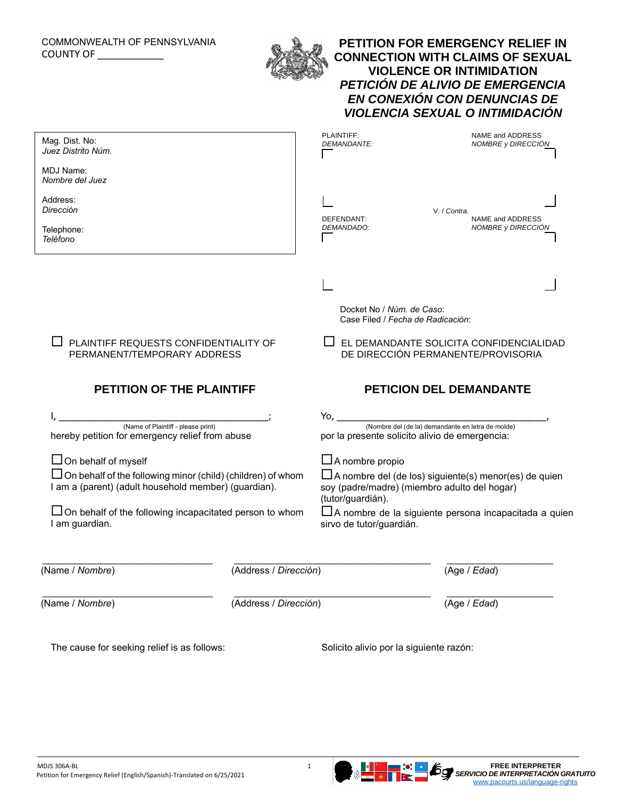## COMMONWEALTH OF PENNSYLVANIA COUNTY OF \_\_\_\_\_\_\_\_\_\_\_\_



**PETITION FOR EMERGENCY RELIEF IN CONNECTION WITH CLAIMS OF SEXUAL VIOLENCE OR INTIMIDATION** *PETICIÓN DE ALIVIO DE EMERGENCIA EN CONEXIÓN CON DENUNCIAS DE VIOLENCIA SEXUAL O INTIMIDACIÓN*

| Mag. Dist. No:<br>Juez Distrito Núm.                                                                                       |                       | PLAINTIFF:<br>DEMANDANTE:                                                                                                         | NAME and ADDRESS<br><b>NOMBRE y DIRECCIÓN</b> |  |
|----------------------------------------------------------------------------------------------------------------------------|-----------------------|-----------------------------------------------------------------------------------------------------------------------------------|-----------------------------------------------|--|
| MDJ Name:<br>Nombre del Juez                                                                                               |                       |                                                                                                                                   |                                               |  |
| Address:<br>Dirección                                                                                                      |                       | DEFENDANT:                                                                                                                        | V. / Contra.<br>NAME and ADDRESS              |  |
| Telephone:<br>Teléfono                                                                                                     |                       | <i>DEMANDADO:</i>                                                                                                                 | <b>NOMBRE y DIRECCIÓN</b>                     |  |
|                                                                                                                            |                       |                                                                                                                                   |                                               |  |
|                                                                                                                            |                       | Docket No / Núm. de Caso:<br>Case Filed / Fecha de Radicación:                                                                    |                                               |  |
| PLAINTIFF REQUESTS CONFIDENTIALITY OF<br>PERMANENT/TEMPORARY ADDRESS                                                       |                       | EL DEMANDANTE SOLICITA CONFIDENCIALIDAD<br>DE DIRECCIÓN PERMANENTE/PROVISORIA                                                     |                                               |  |
| <b>PETITION OF THE PLAINTIFF</b>                                                                                           |                       | <b>PETICION DEL DEMANDANTE</b>                                                                                                    |                                               |  |
|                                                                                                                            |                       | Yo, $\overline{\phantom{a}}$                                                                                                      |                                               |  |
| (Name of Plaintiff - please print)<br>hereby petition for emergency relief from abuse                                      |                       | (Nombre del (de la) demandante en letra de molde)<br>por la presente solicito alivio de emergencia:                               |                                               |  |
| $\Box$ On behalf of myself                                                                                                 |                       | $\Box$ A nombre propio                                                                                                            |                                               |  |
| $\Box$ On behalf of the following minor (child) (children) of whom<br>I am a (parent) (adult household member) (guardian). |                       | $\Box$ A nombre del (de los) siguiente(s) menor(es) de quien<br>soy (padre/madre) (miembro adulto del hogar)<br>(tutor/guardián). |                                               |  |
| $\Box$ On behalf of the following incapacitated person to whom<br>I am guardian.                                           |                       | $\Box$ A nombre de la siguiente persona incapacitada a quien<br>sirvo de tutor/guardián.                                          |                                               |  |
| (Name / Nombre)                                                                                                            | (Address / Dirección) |                                                                                                                                   | (Age / Edad)                                  |  |
| (Name / Nombre)                                                                                                            | (Address / Dirección) |                                                                                                                                   | (Age / Edad)                                  |  |
| The cause for seeking relief is as follows:                                                                                |                       |                                                                                                                                   |                                               |  |